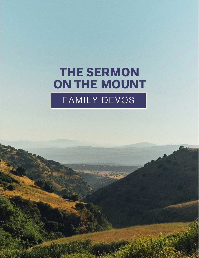# **THE SERMON** ON THE MOUNT FAMILY DEVOS

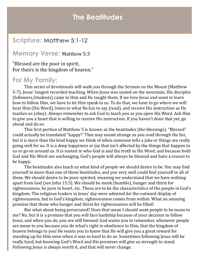## **The Beatitudes**

### **Scripture:** Matthew 5:1-12

#### **Memory Verse:** Matthew 5:3

"Blessed are the poor in spirit, For theirs is the kingdom of heaven."

#### **For My Family:**

This series of devotionals will walk you through the Sermon on the Mount (Matthew 5-7), Jesus' longest recorded teaching. When Jesus was seated on the mountain, His disciples (followers/students) came to Him and He taught them. If we love Jesus and want to learn how to follow Him, we have to let Him speak to us. To do that, we have to go where we will hear Him (His Word), listen to what He has to say (read), and receive His instruction as He teaches us (obey). Always remember to ask God to teach you as you open His Word. Ask Him to give you a heart that is willing to receive His instruction. If you haven't done that yet, go ahead and do so.

This first portion of Matthew 5 is known as the beatitudes (the blessings). "Blessed" could actually be translated "happy!" That may sound strange as you read through the list, but it is more than the kind happy we think of when someone tells a joke or things are really going well for us. It is a deep happiness or joy that isn't affected by the things that happen to us or go on around us. It is rooted in who God is and the truth in His Word, and because both God and His Word are unchanging, God's people will always be blessed and have a reason to be happy.

The beatitudes also teach us what kind of people we should desire to be. You may find yourself in more than one of these beatitudes, and you very well could find yourself in all of them. We should desire to be poor-spirited, meaning we understand that we have nothing apart from God (see John 15:5). We should be meek (humble), hunger and thirst for righteousness, be pure in heart, etc. These are to be the characteristics of the people in God's kingdom. The religious leaders in Jesus' day were admired for the outward display of righteousness, but in God's kingdom, righteousness comes from within. What an amazing promise that those who hunger and thirst for righteousness will be filled!

But what about being persecuted? Does that mean I should want people to be mean to me? No, but it is a promise that you will face hardship because of your decision to follow Jesus, and when you do, you are still blessed. God wants you to remember, whenever people are mean to you because you do what's right in obedience to Him, that the kingdom of heaven belongs to you! He wants you to know that He will give you a great reward for standing up for Him even when it was so hard to do so. Sometimes following Jesus will be really hard, but knowing God's Word and His promises will give us strength to stand. Following Jesus is always worth it, and that will never change.